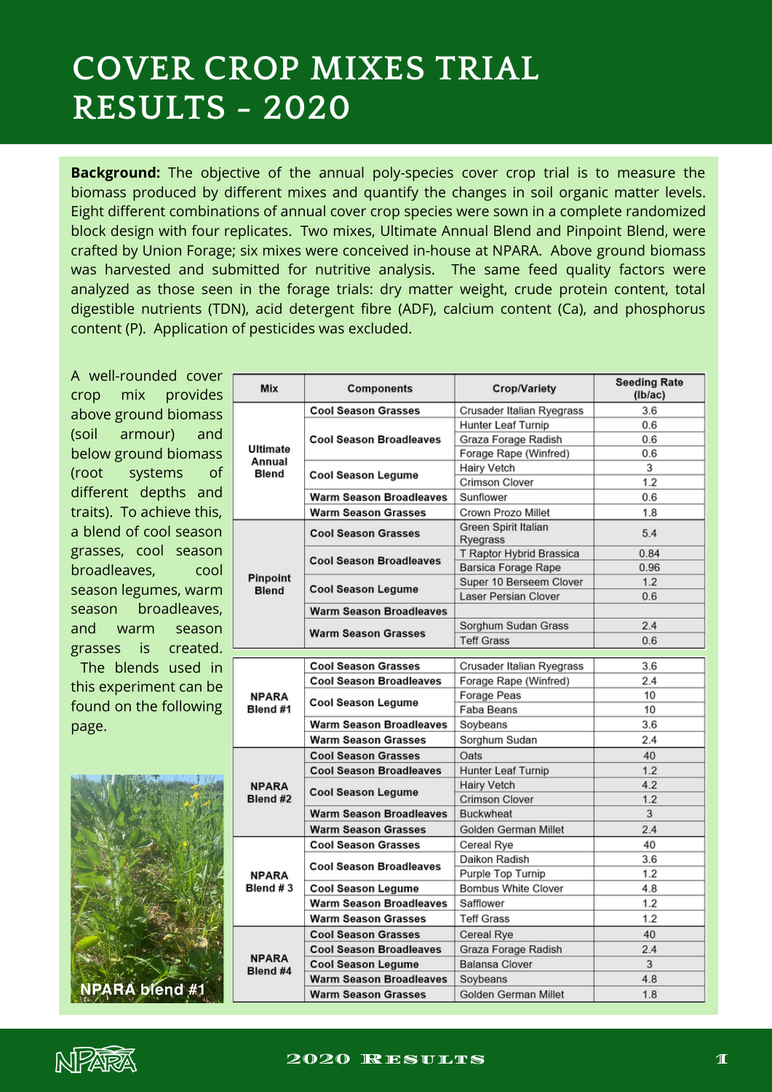## **COVER CROP MIXES TRIAL RESULTS - 2020**

**Background:** The objective of the annual poly-species cover crop trial is to measure the biomass produced by different mixes and quantify the changes in soil organic matter levels. Eight different combinations of annual cover crop species were sown in a complete randomized block design with four replicates. Two mixes, Ultimate Annual Blend and Pinpoint Blend, were crafted by Union Forage; six mixes were conceived in-house at NPARA. Above ground biomass was harvested and submitted for nutritive analysis. The same feed quality factors were analyzed as those seen in the forage trials: dry matter weight, crude protein content, total digestible nutrients (TDN), acid detergent fibre (ADF), calcium content (Ca), and phosphorus content (P). Application of pesticides was excluded.

A well-rounded cover crop mix provides above ground biomass (soil armour) and below ground biomass (root systems of different depths and traits). To achieve this, a blend of cool season grasses, cool season broadleaves, cool season legumes, warm season broadleaves, and warm season grasses is created. The blends used in

this experiment can be found on the following page.



| Mix                                | <b>Components</b>              | <b>Crop/Variety</b>              | <b>Seeding Rate</b><br>(lb/ac) |
|------------------------------------|--------------------------------|----------------------------------|--------------------------------|
| Ultimate<br>Annual<br><b>Blend</b> | <b>Cool Season Grasses</b>     | Crusader Italian Ryegrass        | 3.6                            |
|                                    | <b>Cool Season Broadleaves</b> | <b>Hunter Leaf Turnip</b>        | 0.6                            |
|                                    |                                | Graza Forage Radish              | 0.6                            |
|                                    |                                | Forage Rape (Winfred)            | 0.6                            |
|                                    | Cool Season Legume             | <b>Hairy Vetch</b>               | 3                              |
|                                    |                                | <b>Crimson Clover</b>            | 1.2                            |
|                                    | <b>Warm Season Broadleaves</b> | Sunflower                        | 0.6                            |
|                                    | <b>Warm Season Grasses</b>     | Crown Prozo Millet               | 1.8                            |
| Pinpoint<br><b>Blend</b>           | <b>Cool Season Grasses</b>     | Green Spirit Italian<br>Ryegrass | 5.4                            |
|                                    | <b>Cool Season Broadleaves</b> | T Raptor Hybrid Brassica         | 0.84                           |
|                                    |                                | Barsica Forage Rape              | 0.96                           |
|                                    | <b>Cool Season Legume</b>      | Super 10 Berseem Clover          | 1.2                            |
|                                    |                                | Laser Persian Clover             | 0.6                            |
|                                    | <b>Warm Season Broadleaves</b> |                                  |                                |
|                                    | <b>Warm Season Grasses</b>     | Sorghum Sudan Grass              | 2.4                            |
|                                    |                                | <b>Teff Grass</b>                | 0.6                            |
|                                    |                                |                                  |                                |
| <b>NPARA</b><br>Blend #1           | <b>Cool Season Grasses</b>     | Crusader Italian Ryegrass        | 3.6                            |
|                                    | <b>Cool Season Broadleaves</b> | Forage Rape (Winfred)            | 2.4                            |
|                                    | Cool Season Legume             | <b>Forage Peas</b>               | 10                             |
|                                    |                                | Faba Beans                       | 10                             |
|                                    | <b>Warm Season Broadleaves</b> | Soybeans                         | 3.6                            |
|                                    | <b>Warm Season Grasses</b>     | Sorghum Sudan                    | 2.4                            |
| <b>NPARA</b><br>Blend #2           | <b>Cool Season Grasses</b>     | Oats                             | 40                             |
|                                    | <b>Cool Season Broadleaves</b> | Hunter Leaf Turnip               | 1.2                            |
|                                    | Cool Season Legume             | <b>Hairy Vetch</b>               | 4.2                            |
|                                    |                                | <b>Crimson Clover</b>            | 1.2                            |
|                                    | <b>Warm Season Broadleaves</b> | <b>Buckwheat</b>                 | 3                              |
|                                    | <b>Warm Season Grasses</b>     | Golden German Millet             | 2.4                            |
| <b>NPARA</b><br>Blend #3           | <b>Cool Season Grasses</b>     | Cereal Rye                       | 40                             |
|                                    | <b>Cool Season Broadleaves</b> | Daikon Radish                    | 3.6                            |
|                                    |                                | Purple Top Turnip                | 1.2                            |
|                                    | Cool Season Legume             | <b>Bombus White Clover</b>       | 4.8                            |
|                                    | <b>Warm Season Broadleaves</b> | Safflower                        | 1.2                            |
|                                    | <b>Warm Season Grasses</b>     | <b>Teff Grass</b>                | 1.2                            |
| <b>NPARA</b><br>Blend #4           | <b>Cool Season Grasses</b>     | Cereal Rye                       | 40                             |
|                                    | <b>Cool Season Broadleaves</b> | Graza Forage Radish              | 2.4                            |
|                                    | Cool Season Legume             | <b>Balansa Clover</b>            | 3                              |
|                                    | <b>Warm Season Broadleaves</b> | Soybeans                         | 4.8                            |
|                                    | <b>Warm Season Grasses</b>     | Golden German Millet             | 1.8                            |